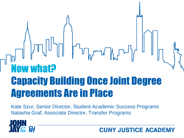# Now what? Capacity Building Once Joint Degree Agreements Are in Place

Kate Szur, Senior Director, Student Academic Success Programs Natasha Graf, Associate Director, Transfer Programs



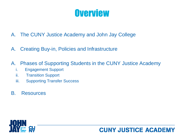### **Overview**

- A. The CUNY Justice Academy and John Jay College
- A. Creating Buy-in, Policies and Infrastructure
- A. Phases of Supporting Students in the CUNY Justice Academy
	- i. Engagement Support
	- ii. Transition Support
	- iii. Supporting Transfer Success
- B. Resources



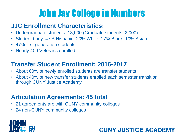# John Jay College in Numbers

### **JJC Enrollment Characteristics:**

- Undergraduate students: 13,000 (Graduate students: 2,000)
- Student body: 47% Hispanic, 20% White, 17% Black, 10% Asian
- 47% first-generation students
- Nearly 400 Veterans enrolled

### **Transfer Student Enrollment: 2016-2017**

- About 60% of newly enrolled students are transfer students
- About 40% of new transfer students enrolled each semester transition through CUNY Justice Academy

**CUNY JUSTICE ACADEM** 

### **Articulation Agreements: 45 total**

- 21 agreements are with CUNY community colleges
- 24 non-CUNY community colleges

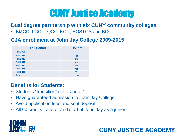# CUNY Justice Academy

#### **Dual degree partnership with six CUNY community colleges**

• BMCC, LGCC, QCC, KCC, HOSTOS and BCC

#### **CJA enrollment at John Jay College 2009-2015**

| <b>Fall Cohort</b> | <b>Cohort</b> |
|--------------------|---------------|
| <b>Fall 2009</b>   | 1             |
| <b>Fall 2010</b>   | 23            |
| <b>Fall 2011</b>   | 116           |
| <b>Fall 2012</b>   | 264           |
| <b>Fall 2013</b>   | 368           |
| <b>Fall 2014</b>   | 422           |
| <b>Fall 2015</b>   | 551           |
| <b>Total</b>       | 1745          |

#### **Benefits for Students:**

- Students "transition" not "transfer"
- Have guaranteed admission to John Jay College
- Avoid application fees and seat deposit
- All 60 credits transfer and start at John Jay as a junior



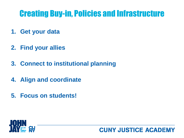### Creating Buy-in, Policies and Infrastructure

- **1. Get your data**
- **2. Find your allies**
- **3. Connect to institutional planning**
- **4. Align and coordinate**
- **5. Focus on students!**

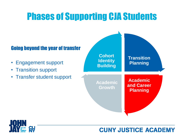### Phases of Supporting CJA Students

#### Going beyond the year of transfer

- Engagement support
- Transition support
- Transfer student support



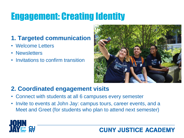# Engagement: Creating Identity

### **1. Targeted communication**

- Welcome Letters
- Newsletters
- Invitations to confirm transition



#### **2. Coordinated engagement visits**

- Connect with students at all 6 campuses every semester
- Invite to events at John Jay: campus tours, career events, and a Meet and Greet (for students who plan to attend next semester)

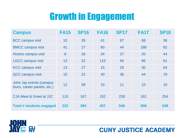### Growth in Engagement

| <b>Campus</b>                                          | <b>FA15</b> | <b>SP16</b> | <b>FA16</b> | <b>SP17</b> | <b>FA17</b> | <b>SP18</b> |
|--------------------------------------------------------|-------------|-------------|-------------|-------------|-------------|-------------|
| <b>BCC campus visit</b>                                | 10          | 35          | 41          | 67          | 68          | 36          |
| <b>BMCC campus visit</b>                               | 41          | 27          | 60          | 44          | 188         | 82          |
| Hostos campus visit                                    | 8           | 26          | 24          | 27          | 20          | 44          |
| <b>LGCC campus visit</b>                               | 13          | 22          | 115         | 94          | 86          | 61          |
| <b>KCC campus visit</b>                                | 13          | 27          | 15          | 29          | 30          | 64          |
| QCC campus visit                                       | 15          | 22          | 40          | 36          | 44          | 78          |
| John Jay events (campus<br>tours, career panels, etc.) | 12          | 58          | 10          | 11          | 10          | 19          |
| CJA Meet & Greet at JJC                                | 110         | 167         | 152         | 238         | 162         | 254         |
| <b>Total # students engaged</b>                        | 222         | 384         | 457         | 546         | 608         | 638         |

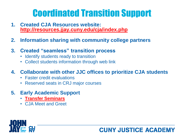# Coordinated Transition Support

- **1. Created CJA Resources website: <http://resources.jjay.cuny.edu/cja/index.php>**
- **2. Information sharing with community college partners**
- **3. Created "seamless" transition process**
	- Identify students ready to transition
	- Collect students information through web link

#### **4. Collaborate with other JJC offices to prioritize CJA students**

- Faster credit evaluations
- Reserved seats in CRJ major courses
- **5. Early Academic Support**
	- **[Transfer Seminars](https://www.jjay.cuny.edu/sites/default/files/contentgroups/sasp/Transfer_SeminarsFA18.pdf)**
	- CJA Meet and Greet

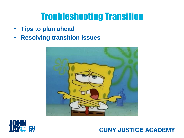### Troubleshooting Transition

- **Tips to plan ahead**
- **Resolving transition issues**



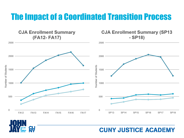### The Impact of a Coordinated Transition Process



**SV**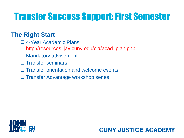# Transfer Success Support: First Semester

#### **The Right Start**

- ❑ 4-Year Academic Plans:
	- [http://resources.jjay.cuny.edu/cja/acad\\_plan.php](http://resources.jjay.cuny.edu/cja/acad_plan.php)
- ❑ Mandatory advisement
- ❑ Transfer seminars
- ❑ Transfer orientation and welcome events
- ❑ Transfer Advantage workshop series



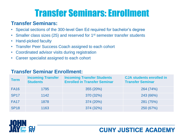# Transfer Seminars: Enrollment

#### **Transfer Seminars:**

- Special sections of the 300-level Gen Ed required for bachelor's degree
- Smaller class sizes (25) and reserved for 1<sup>st</sup> semester transfer students
- Hand-picked faculty
- Transfer Peer Success Coach assigned to each cohort
- Coordinated advisor visits during registration
- Career specialist assigned to each cohort

#### **Transfer Seminar Enrollment:**

| <b>Term</b> | <b>Incoming Transfer</b><br><b>Students</b> | <b>Incoming Transfer Students</b><br><b>Enrolled in Transfer Seminar</b> | <b>CJA students enrolled in</b><br><b>Transfer Seminar</b> |
|-------------|---------------------------------------------|--------------------------------------------------------------------------|------------------------------------------------------------|
| <b>FA16</b> | 1795                                        | 355 (20%)                                                                | 264 (74%)                                                  |
| <b>SP17</b> | 1142                                        | 370 (32%)                                                                | 243 (66%)                                                  |
| <b>FA17</b> | 1878                                        | 374 (20%)                                                                | 281 (75%)                                                  |
| <b>SP18</b> | 1163                                        | 374 (32%)                                                                | 250 (67%)                                                  |

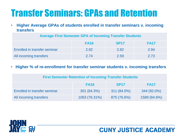# Transfer Seminars: GPAs and Retention

• **Higher Average GPAs of students enrolled in transfer seminars v. incoming transfers**

|                               | <b>FA16</b> | <b>SP17</b> | <b>FA17</b> |
|-------------------------------|-------------|-------------|-------------|
| Enrolled in transfer seminar  | 2.92        | 2.82        | 2.94        |
| <b>All incoming transfers</b> | 2.74        | 2.59        | 2.73        |

• **Higher % of re-enrollment for transfer seminar students v. incoming transfers** 

| <b>First Semester Retention of Incoming Transfer Students</b> |               |             |              |
|---------------------------------------------------------------|---------------|-------------|--------------|
|                                                               | <b>FA16</b>   | <b>SP17</b> | <b>FA17</b>  |
| <b>Enrolled in transfer seminar</b>                           | 301 (84.3%)   | 311 (84.0%) | 344 (92.0%)  |
| All incoming transfers                                        | 1063 (76.31%) | 875 (76.6%) | 1589 (84.6%) |



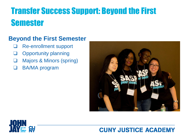### Transfer Success Support: Beyond the First Semester

#### **Beyond the First Semester**

- ❑ Re-enrollment support
- ❑ Opportunity planning
- ❑ Majors & Minors (spring)
- ❑ BA/MA program